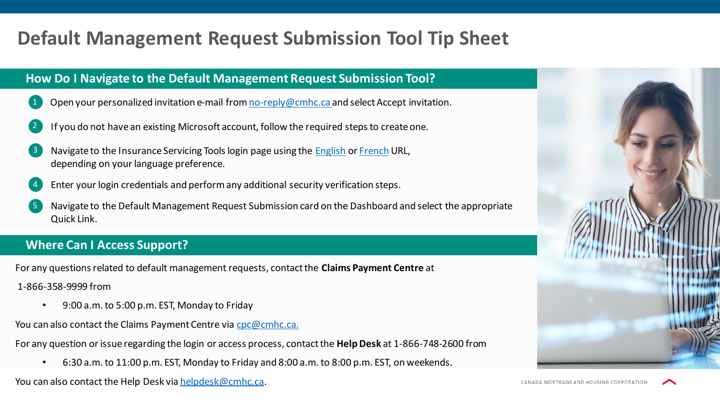# **Default Management Request Submission Tool Tip Sheet**

# **How Do I Navigate to the Default Management Request Submission Tool?**

- Open your personalized invitation e-mail from [no-reply@cmhc.ca a](mailto:no-reply@cmhc.ca)nd select Accept invitation.
- If you do not have an existing Microsoft account, follow the required steps to create one.
- Navigate to the Insurance Servicing Tools login page using the **[English](http://gateway.cmhc.ca/) or [French](http://passerelle.schl.ca/) URL**, depending on your language preference.
- 4. Enter your login credentials and perform any additional security verification steps.
- 5. Navigate to the Default Management Request Submission card on the Dashboard and select the appropriate Quick Link.

# **Where Can I Access Support?**

For any questions related to default management requests, contact the **Claims Payment Centre** at

1-866-358-9999 from

- 9:00 a.m. to 5:00 p.m. EST, Monday to Friday.
- You can also contact the Claims Payment Centre via [cpc@cmhc.ca.](mailto:cpc@cmhc.ca)
- For any question or issue regarding the login or access process, contact the **Help Desk** at 1-866-748-2600 from
	- 6:30 a.m. to 11:00 p.m. EST, Monday to Friday and 8:00 a.m. to 8:00 p.m. EST, on weekends.